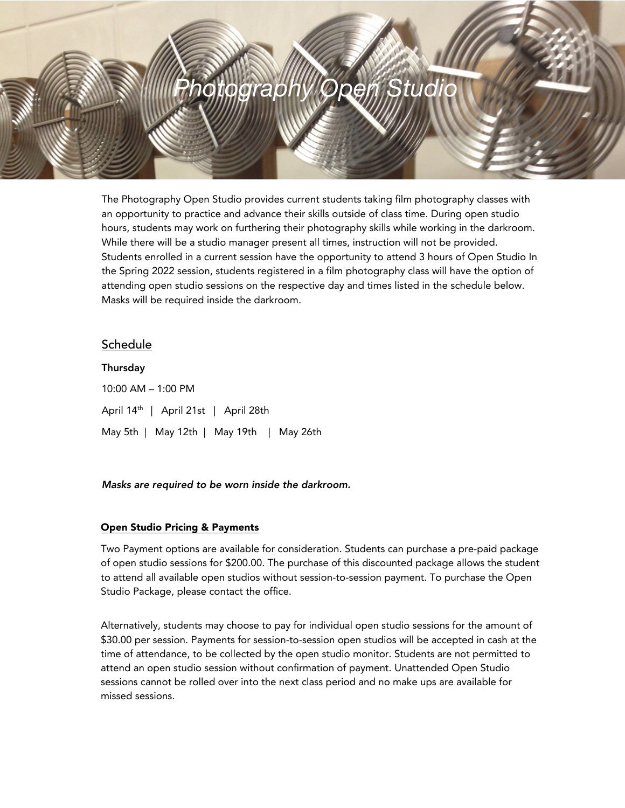# Photography Opeń Studic

The Photography Open Studio provides current students taking film photography classes with an opportunity to practice and advance their skills outside of class time. During open studio hours, students may work on furthering their photography skills while working in the darkroom. While there will be a studio manager present all times, instruction will not be provided. Students enrolled in a current session have the opportunity to attend 3 hours of Open Studio In the Spring 2022 session, students registered in a film photography class will have the option of attending open studio sessions on the respective day and times listed in the schedule below. Masks will be required inside the darkroom.

## **Schedule**

Thursday 10:00 AM – 1:00 PM April 14<sup>th</sup> | April 21st | April 28th May 5th | May 12th | May 19th | May 26th

#### Masks are required to be worn inside the darkroom.

#### Open Studio Pricing & Payments

Two Payment options are available for consideration. Students can purchase a pre-paid package of open studio sessions for \$200.00. The purchase of this discounted package allows the student to attend all available open studios without session-to-session payment. To purchase the Open Studio Package, please contact the office.

Alternatively, students may choose to pay for individual open studio sessions for the amount of \$30.00 per session. Payments for session-to-session open studios will be accepted in cash at the time of attendance, to be collected by the open studio monitor. Students are not permitted to attend an open studio session without confirmation of payment. Unattended Open Studio sessions cannot be rolled over into the next class period and no make ups are available for missed sessions.